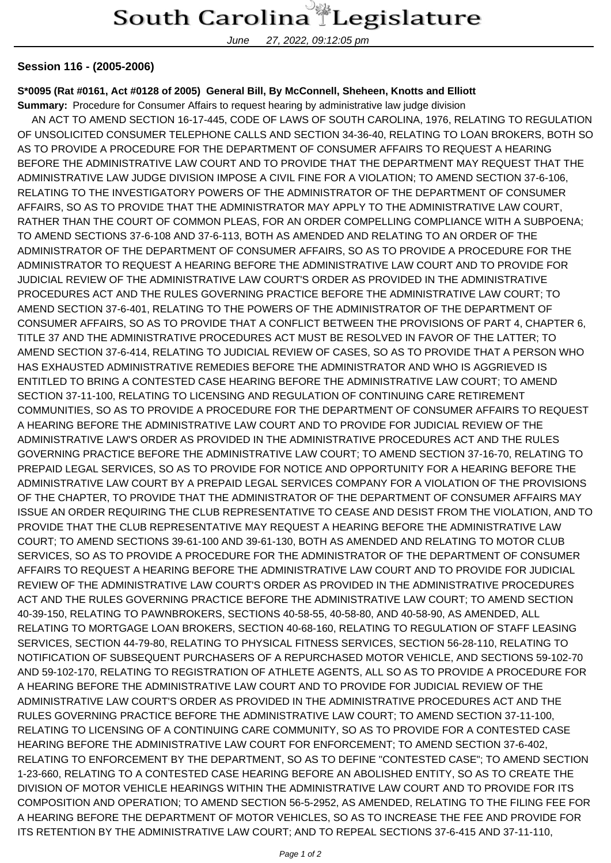## South Carolina Legislature

June 27, 2022, 09:12:05 pm

## **Session 116 - (2005-2006)**

## **S\*0095 (Rat #0161, Act #0128 of 2005) General Bill, By McConnell, Sheheen, Knotts and Elliott**

**Summary:** Procedure for Consumer Affairs to request hearing by administrative law judge division

 AN ACT TO AMEND SECTION 16-17-445, CODE OF LAWS OF SOUTH CAROLINA, 1976, RELATING TO REGULATION OF UNSOLICITED CONSUMER TELEPHONE CALLS AND SECTION 34-36-40, RELATING TO LOAN BROKERS, BOTH SO AS TO PROVIDE A PROCEDURE FOR THE DEPARTMENT OF CONSUMER AFFAIRS TO REQUEST A HEARING BEFORE THE ADMINISTRATIVE LAW COURT AND TO PROVIDE THAT THE DEPARTMENT MAY REQUEST THAT THE ADMINISTRATIVE LAW JUDGE DIVISION IMPOSE A CIVIL FINE FOR A VIOLATION; TO AMEND SECTION 37-6-106, RELATING TO THE INVESTIGATORY POWERS OF THE ADMINISTRATOR OF THE DEPARTMENT OF CONSUMER AFFAIRS, SO AS TO PROVIDE THAT THE ADMINISTRATOR MAY APPLY TO THE ADMINISTRATIVE LAW COURT, RATHER THAN THE COURT OF COMMON PLEAS, FOR AN ORDER COMPELLING COMPLIANCE WITH A SUBPOENA; TO AMEND SECTIONS 37-6-108 AND 37-6-113, BOTH AS AMENDED AND RELATING TO AN ORDER OF THE ADMINISTRATOR OF THE DEPARTMENT OF CONSUMER AFFAIRS, SO AS TO PROVIDE A PROCEDURE FOR THE ADMINISTRATOR TO REQUEST A HEARING BEFORE THE ADMINISTRATIVE LAW COURT AND TO PROVIDE FOR JUDICIAL REVIEW OF THE ADMINISTRATIVE LAW COURT'S ORDER AS PROVIDED IN THE ADMINISTRATIVE PROCEDURES ACT AND THE RULES GOVERNING PRACTICE BEFORE THE ADMINISTRATIVE LAW COURT; TO AMEND SECTION 37-6-401, RELATING TO THE POWERS OF THE ADMINISTRATOR OF THE DEPARTMENT OF CONSUMER AFFAIRS, SO AS TO PROVIDE THAT A CONFLICT BETWEEN THE PROVISIONS OF PART 4, CHAPTER 6, TITLE 37 AND THE ADMINISTRATIVE PROCEDURES ACT MUST BE RESOLVED IN FAVOR OF THE LATTER; TO AMEND SECTION 37-6-414, RELATING TO JUDICIAL REVIEW OF CASES, SO AS TO PROVIDE THAT A PERSON WHO HAS EXHAUSTED ADMINISTRATIVE REMEDIES BEFORE THE ADMINISTRATOR AND WHO IS AGGRIEVED IS ENTITLED TO BRING A CONTESTED CASE HEARING BEFORE THE ADMINISTRATIVE LAW COURT; TO AMEND SECTION 37-11-100, RELATING TO LICENSING AND REGULATION OF CONTINUING CARE RETIREMENT COMMUNITIES, SO AS TO PROVIDE A PROCEDURE FOR THE DEPARTMENT OF CONSUMER AFFAIRS TO REQUEST A HEARING BEFORE THE ADMINISTRATIVE LAW COURT AND TO PROVIDE FOR JUDICIAL REVIEW OF THE ADMINISTRATIVE LAW'S ORDER AS PROVIDED IN THE ADMINISTRATIVE PROCEDURES ACT AND THE RULES GOVERNING PRACTICE BEFORE THE ADMINISTRATIVE LAW COURT; TO AMEND SECTION 37-16-70, RELATING TO PREPAID LEGAL SERVICES, SO AS TO PROVIDE FOR NOTICE AND OPPORTUNITY FOR A HEARING BEFORE THE ADMINISTRATIVE LAW COURT BY A PREPAID LEGAL SERVICES COMPANY FOR A VIOLATION OF THE PROVISIONS OF THE CHAPTER, TO PROVIDE THAT THE ADMINISTRATOR OF THE DEPARTMENT OF CONSUMER AFFAIRS MAY ISSUE AN ORDER REQUIRING THE CLUB REPRESENTATIVE TO CEASE AND DESIST FROM THE VIOLATION, AND TO PROVIDE THAT THE CLUB REPRESENTATIVE MAY REQUEST A HEARING BEFORE THE ADMINISTRATIVE LAW COURT; TO AMEND SECTIONS 39-61-100 AND 39-61-130, BOTH AS AMENDED AND RELATING TO MOTOR CLUB SERVICES, SO AS TO PROVIDE A PROCEDURE FOR THE ADMINISTRATOR OF THE DEPARTMENT OF CONSUMER AFFAIRS TO REQUEST A HEARING BEFORE THE ADMINISTRATIVE LAW COURT AND TO PROVIDE FOR JUDICIAL REVIEW OF THE ADMINISTRATIVE LAW COURT'S ORDER AS PROVIDED IN THE ADMINISTRATIVE PROCEDURES ACT AND THE RULES GOVERNING PRACTICE BEFORE THE ADMINISTRATIVE LAW COURT; TO AMEND SECTION 40-39-150, RELATING TO PAWNBROKERS, SECTIONS 40-58-55, 40-58-80, AND 40-58-90, AS AMENDED, ALL RELATING TO MORTGAGE LOAN BROKERS, SECTION 40-68-160, RELATING TO REGULATION OF STAFF LEASING SERVICES, SECTION 44-79-80, RELATING TO PHYSICAL FITNESS SERVICES, SECTION 56-28-110, RELATING TO NOTIFICATION OF SUBSEQUENT PURCHASERS OF A REPURCHASED MOTOR VEHICLE, AND SECTIONS 59-102-70 AND 59-102-170, RELATING TO REGISTRATION OF ATHLETE AGENTS, ALL SO AS TO PROVIDE A PROCEDURE FOR A HEARING BEFORE THE ADMINISTRATIVE LAW COURT AND TO PROVIDE FOR JUDICIAL REVIEW OF THE ADMINISTRATIVE LAW COURT'S ORDER AS PROVIDED IN THE ADMINISTRATIVE PROCEDURES ACT AND THE RULES GOVERNING PRACTICE BEFORE THE ADMINISTRATIVE LAW COURT; TO AMEND SECTION 37-11-100, RELATING TO LICENSING OF A CONTINUING CARE COMMUNITY, SO AS TO PROVIDE FOR A CONTESTED CASE HEARING BEFORE THE ADMINISTRATIVE LAW COURT FOR ENFORCEMENT; TO AMEND SECTION 37-6-402, RELATING TO ENFORCEMENT BY THE DEPARTMENT, SO AS TO DEFINE "CONTESTED CASE"; TO AMEND SECTION 1-23-660, RELATING TO A CONTESTED CASE HEARING BEFORE AN ABOLISHED ENTITY, SO AS TO CREATE THE DIVISION OF MOTOR VEHICLE HEARINGS WITHIN THE ADMINISTRATIVE LAW COURT AND TO PROVIDE FOR ITS COMPOSITION AND OPERATION; TO AMEND SECTION 56-5-2952, AS AMENDED, RELATING TO THE FILING FEE FOR A HEARING BEFORE THE DEPARTMENT OF MOTOR VEHICLES, SO AS TO INCREASE THE FEE AND PROVIDE FOR ITS RETENTION BY THE ADMINISTRATIVE LAW COURT; AND TO REPEAL SECTIONS 37-6-415 AND 37-11-110,